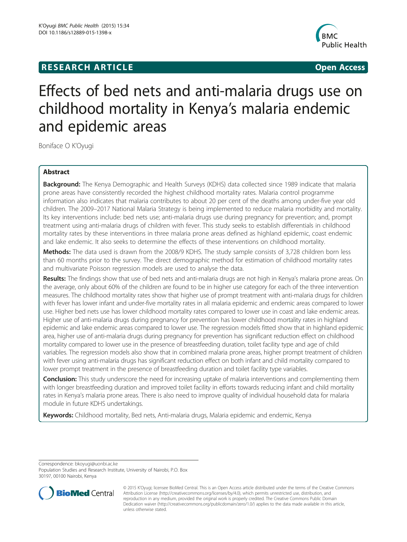# **RESEARCH ARTICLE CONSUMING A RESEARCH ARTICLE**



# Effects of bed nets and anti-malaria drugs use on childhood mortality in Kenya's malaria endemic and epidemic areas

Boniface O K'Oyugi

# Abstract

Background: The Kenya Demographic and Health Surveys (KDHS) data collected since 1989 indicate that malaria prone areas have consistently recorded the highest childhood mortality rates. Malaria control programme information also indicates that malaria contributes to about 20 per cent of the deaths among under-five year old children. The 2009–2017 National Malaria Strategy is being implemented to reduce malaria morbidity and mortality. Its key interventions include: bed nets use; anti-malaria drugs use during pregnancy for prevention; and, prompt treatment using anti-malaria drugs of children with fever. This study seeks to establish differentials in childhood mortality rates by these interventions in three malaria prone areas defined as highland epidemic, coast endemic and lake endemic. It also seeks to determine the effects of these interventions on childhood mortality.

Methods: The data used is drawn from the 2008/9 KDHS. The study sample consists of 3,728 children born less than 60 months prior to the survey. The direct demographic method for estimation of childhood mortality rates and multivariate Poisson regression models are used to analyse the data.

Results: The findings show that use of bed nets and anti-malaria drugs are not high in Kenya's malaria prone areas. On the average, only about 60% of the children are found to be in higher use category for each of the three intervention measures. The childhood mortality rates show that higher use of prompt treatment with anti-malaria drugs for children with fever has lower infant and under-five mortality rates in all malaria epidemic and endemic areas compared to lower use. Higher bed nets use has lower childhood mortality rates compared to lower use in coast and lake endemic areas. Higher use of anti-malaria drugs during pregnancy for prevention has lower childhood mortality rates in highland epidemic and lake endemic areas compared to lower use. The regression models fitted show that in highland epidemic area, higher use of anti-malaria drugs during pregnancy for prevention has significant reduction effect on childhood mortality compared to lower use in the presence of breastfeeding duration, toilet facility type and age of child variables. The regression models also show that in combined malaria prone areas, higher prompt treatment of children with fever using anti-malaria drugs has significant reduction effect on both infant and child mortality compared to lower prompt treatment in the presence of breastfeeding duration and toilet facility type variables.

**Conclusion:** This study underscore the need for increasing uptake of malaria interventions and complementing them with longer breastfeeding duration and improved toilet facility in efforts towards reducing infant and child mortality rates in Kenya's malaria prone areas. There is also need to improve quality of individual household data for malaria module in future KDHS undertakings.

Keywords: Childhood mortality, Bed nets, Anti-malaria drugs, Malaria epidemic and endemic, Kenya

Correspondence: [bkoyugi@uonbi.ac.ke](mailto:bkoyugi@uonbi.ac.ke)

Population Studies and Research Institute, University of Nairobi, P.O. Box 30197, 00100 Nairobi, Kenya



<sup>© 2015</sup> K'Oyugi; licensee BioMed Central. This is an Open Access article distributed under the terms of the Creative Commons Attribution License (<http://creativecommons.org/licenses/by/4.0>), which permits unrestricted use, distribution, and reproduction in any medium, provided the original work is properly credited. The Creative Commons Public Domain Dedication waiver [\(http://creativecommons.org/publicdomain/zero/1.0/](http://creativecommons.org/publicdomain/zero/1.0/)) applies to the data made available in this article, unless otherwise stated.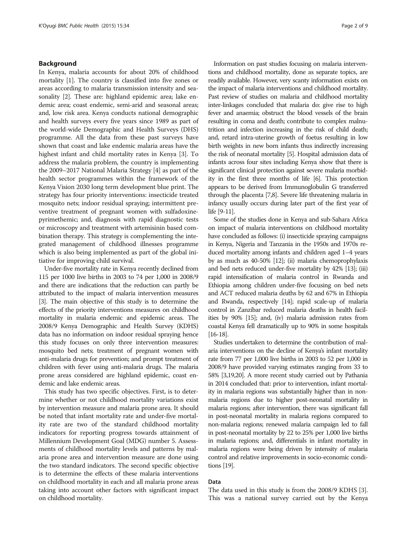#### Background

In Kenya, malaria accounts for about 20% of childhood mortality [\[1\]](#page-7-0). The country is classified into five zones or areas according to malaria transmission intensity and seasonality [[2](#page-7-0)]. These are: highland epidemic area; lake endemic area; coast endemic, semi-arid and seasonal areas; and, low risk area. Kenya conducts national demographic and health surveys every five years since 1989 as part of the world-wide Demographic and Health Surveys (DHS) programme. All the data from these past surveys have shown that coast and lake endemic malaria areas have the highest infant and child mortality rates in Kenya [\[3\]](#page-7-0). To address the malaria problem, the country is implementing the 2009–2017 National Malaria Strategy [\[4](#page-7-0)] as part of the health sector programmes within the framework of the Kenya Vision 2030 long term development blue print. The strategy has four priority interventions: insecticide treated mosquito nets; indoor residual spraying; intermittent preventive treatment of pregnant women with sulfadoxinepyrimethemic; and, diagnosis with rapid diagnostic tests or microscopy and treatment with artemisinin based combination therapy. This strategy is complementing the integrated management of childhood illnesses programme which is also being implemented as part of the global initiative for improving child survival.

Under-five mortality rate in Kenya recently declined from 115 per 1000 live births in 2003 to 74 per 1,000 in 2008/9 and there are indications that the reduction can partly be attributed to the impact of malaria intervention measures [[3](#page-7-0)]. The main objective of this study is to determine the effects of the priority interventions measures on childhood mortality in malaria endemic and epidemic areas. The 2008/9 Kenya Demographic and Health Survey (KDHS) data has no information on indoor residual spraying hence this study focuses on only three intervention measures: mosquito bed nets; treatment of pregnant women with anti-malaria drugs for prevention; and prompt treatment of children with fever using anti-malaria drugs. The malaria prone areas considered are highland epidemic, coast endemic and lake endemic areas.

This study has two specific objectives. First, is to determine whether or not childhood mortality variations exist by intervention measure and malaria prone area. It should be noted that infant mortality rate and under-five mortality rate are two of the standard childhood mortality indicators for reporting progress towards attainment of Millennium Development Goal (MDG) number 5. Assessments of childhood mortality levels and patterns by malaria prone area and intervention measure are done using the two standard indicators. The second specific objective is to determine the effects of these malaria interventions on childhood mortality in each and all malaria prone areas taking into account other factors with significant impact on childhood mortality.

Information on past studies focusing on malaria interventions and childhood mortality, done as separate topics, are readily available. However, very scanty information exists on the impact of malaria interventions and childhood mortality. Past review of studies on malaria and childhood mortality inter-linkages concluded that malaria do: give rise to high fever and anaemia; obstruct the blood vessels of the brain resulting in coma and death; contribute to complex malnutrition and infection increasing in the risk of child death; and, retard intra-uterine growth of foetus resulting in low birth weights in new born infants thus indirectly increasing the risk of neonatal mortality [\[5\]](#page-7-0). Hospital admission data of infants across four sites including Kenya show that there is significant clinical protection against severe malaria morbidity in the first three months of life [\[6](#page-7-0)]. This protection appears to be derived from Immunoglobulin G transferred through the placenta [\[7,8\]](#page-7-0). Severe life threatening malaria in infancy usually occurs during later part of the first year of life [[9](#page-7-0)-[11\]](#page-7-0).

Some of the studies done in Kenya and sub-Sahara Africa on impact of malaria interventions on childhood mortality have concluded as follows: (i) insecticide spraying campaigns in Kenya, Nigeria and Tanzania in the 1950s and 1970s reduced mortality among infants and children aged 1–4 years by as much as 40-50% [[12](#page-7-0)]; (ii) malaria chemoprophylaxis and bed nets reduced under-five mortality by 42% [\[13](#page-7-0)]; (iii) rapid intensification of malaria control in Rwanda and Ethiopia among children under-five focusing on bed nets and ACT reduced malaria deaths by 62 and 67% in Ethiopia and Rwanda, respectively [\[14\]](#page-7-0); rapid scale-up of malaria control in Zanzibar reduced malaria deaths in health facilities by 90% [\[15\]](#page-7-0); and, (iv) malaria admission rates from coastal Kenya fell dramatically up to 90% in some hospitals [[16](#page-7-0)[-18\]](#page-8-0).

Studies undertaken to determine the contribution of malaria interventions on the decline of Kenya's infant mortality rate from 77 per 1,000 live births in 2003 to 52 per 1,000 in 2008/9 have provided varying estimates ranging from 33 to 58% [\[3](#page-7-0)[,19,20\]](#page-8-0). A more recent study carried out by Pathania in 2014 concluded that: prior to intervention, infant mortality in malaria regions was substantially higher than in nonmalaria regions due to higher post-neonatal mortality in malaria regions; after intervention, there was significant fall in post-neonatal mortality in malaria regions compared to non-malaria regions; renewed malaria campaign led to fall in post-neonatal mortality by 22 to 25% per 1,000 live births in malaria regions; and, differentials in infant mortality in malaria regions were being driven by intensity of malaria control and relative improvements in socio-economic conditions [\[19](#page-8-0)].

#### Data

The data used in this study is from the 2008/9 KDHS [[3](#page-7-0)]. This was a national survey carried out by the Kenya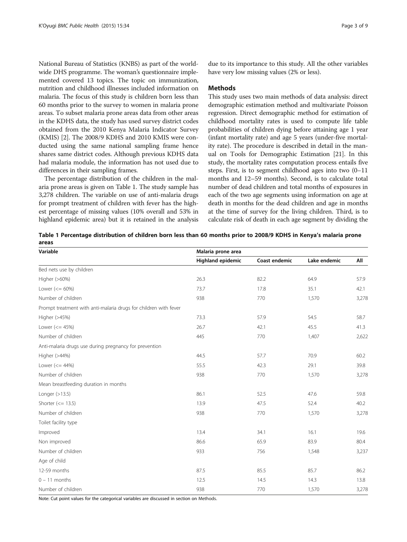<span id="page-2-0"></span>National Bureau of Statistics (KNBS) as part of the worldwide DHS programme. The woman's questionnaire implemented covered 13 topics. The topic on immunization, nutrition and childhood illnesses included information on malaria. The focus of this study is children born less than 60 months prior to the survey to women in malaria prone areas. To subset malaria prone areas data from other areas in the KDHS data, the study has used survey district codes obtained from the 2010 Kenya Malaria Indicator Survey (KMIS) [\[2](#page-7-0)]. The 2008/9 KDHS and 2010 KMIS were conducted using the same national sampling frame hence shares same district codes. Although previous KDHS data had malaria module, the information has not used due to differences in their sampling frames.

The percentage distribution of the children in the malaria prone areas is given on Table 1. The study sample has 3,278 children. The variable on use of anti-malaria drugs for prompt treatment of children with fever has the highest percentage of missing values (10% overall and 53% in highland epidemic area) but it is retained in the analysis

due to its importance to this study. All the other variables have very low missing values (2% or less).

## **Methods**

This study uses two main methods of data analysis: direct demographic estimation method and multivariate Poisson regression. Direct demographic method for estimation of childhood mortality rates is used to compute life table probabilities of children dying before attaining age 1 year (infant mortality rate) and age 5 years (under-five mortality rate). The procedure is described in detail in the manual on Tools for Demographic Estimation [[21](#page-8-0)]. In this study, the mortality rates computation process entails five steps. First, is to segment childhood ages into two (0–11 months and 12–59 months). Second, is to calculate total number of dead children and total months of exposures in each of the two age segments using information on age at death in months for the dead children and age in months at the time of survey for the living children. Third, is to calculate risk of death in each age segment by dividing the

Table 1 Percentage distribution of children born less than 60 months prior to 2008/9 KDHS in Kenya's malaria prone areas

| Variable                                                         | Malaria prone area |               |              |       |  |  |  |  |
|------------------------------------------------------------------|--------------------|---------------|--------------|-------|--|--|--|--|
|                                                                  | Highland epidemic  | Coast endemic | Lake endemic | All   |  |  |  |  |
| Bed nets use by children                                         |                    |               |              |       |  |  |  |  |
| Higher (>60%)                                                    | 26.3               | 82.2          | 64.9         | 57.9  |  |  |  |  |
| Lower $\left(<=60\% \right)$                                     | 73.7               | 17.8          | 35.1         | 42.1  |  |  |  |  |
| Number of children                                               | 938                | 770           | 1,570        | 3,278 |  |  |  |  |
| Prompt treatment with anti-malaria drugs for children with fever |                    |               |              |       |  |  |  |  |
| Higher (>45%)                                                    | 73.3               | 57.9          | 54.5         | 58.7  |  |  |  |  |
| Lower $\left(<=45\%\right)$                                      | 26.7               | 42.1          | 45.5         | 41.3  |  |  |  |  |
| Number of children                                               | 445                | 770           | 1,407        | 2,622 |  |  |  |  |
| Anti-malaria drugs use during pregnancy for prevention           |                    |               |              |       |  |  |  |  |
| Higher (>44%)                                                    | 44.5               | 57.7          | 70.9         | 60.2  |  |  |  |  |
| Lower $\left(<=44\% \right)$                                     | 55.5               | 42.3          | 29.1         | 39.8  |  |  |  |  |
| Number of children                                               | 938                | 770           | 1,570        | 3,278 |  |  |  |  |
| Mean breastfeeding duration in months                            |                    |               |              |       |  |  |  |  |
| Longer $(>13.5)$                                                 | 86.1               | 52.5          | 47.6         | 59.8  |  |  |  |  |
| Shorter $\left(<=13.5\right)$                                    | 13.9               | 47.5          | 52.4         | 40.2  |  |  |  |  |
| Number of children                                               | 938                | 770           | 1,570        | 3,278 |  |  |  |  |
| Toilet facility type                                             |                    |               |              |       |  |  |  |  |
| Improved                                                         | 13.4               | 34.1          | 16.1         | 19.6  |  |  |  |  |
| Non improved                                                     | 86.6               | 65.9          | 83.9         | 80.4  |  |  |  |  |
| Number of children                                               | 933                | 756           | 1,548        | 3,237 |  |  |  |  |
| Age of child                                                     |                    |               |              |       |  |  |  |  |
| 12-59 months                                                     | 87.5               | 85.5          | 85.7         | 86.2  |  |  |  |  |
| $0 - 11$ months                                                  | 12.5               | 14.5          | 14.3         | 13.8  |  |  |  |  |
| Number of children                                               | 938                | 770           | 1,570        | 3,278 |  |  |  |  |

Note: Cut point values for the categorical variables are discussed in section on Methods.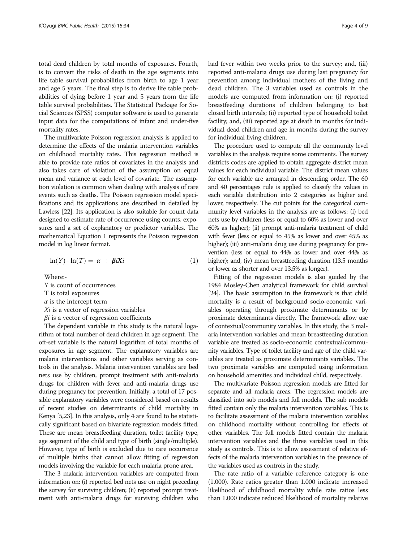total dead children by total months of exposures. Fourth, is to convert the risks of death in the age segments into life table survival probabilities from birth to age 1 year and age 5 years. The final step is to derive life table probabilities of dying before 1 year and 5 years from the life table survival probabilities. The Statistical Package for Social Sciences (SPSS) computer software is used to generate input data for the computations of infant and under-five mortality rates.

The multivariate Poisson regression analysis is applied to determine the effects of the malaria intervention variables on childhood mortality rates. This regression method is able to provide rate ratios of covariates in the analysis and also takes care of violation of the assumption on equal mean and variance at each level of covariate. The assumption violation is common when dealing with analysis of rare events such as deaths. The Poisson regression model specifications and its applications are described in detailed by Lawless [\[22\]](#page-8-0). Its application is also suitable for count data designed to estimate rate of occurrence using counts, exposures and a set of explanatory or predictor variables. The mathematical Equation 1 represents the Poisson regression model in log linear format.

$$
\ln(Y) - \ln(T) = \alpha + \beta i X i \tag{1}
$$

Where:-

Y is count of occurrences

T is total exposures

 $\alpha$  is the intercept term

 $Xi$  is a vector of regression variables

 $\beta$ *i* is a vector of regression coefficients

The dependent variable in this study is the natural logarithm of total number of dead children in age segment. The off-set variable is the natural logarithm of total months of exposures in age segment. The explanatory variables are malaria interventions and other variables serving as controls in the analysis. Malaria intervention variables are bed nets use by children, prompt treatment with anti-malaria drugs for children with fever and anti-malaria drugs use during pregnancy for prevention. Initially, a total of 17 possible explanatory variables were considered based on results of recent studies on determinants of child mortality in Kenya [[5](#page-7-0)[,23\]](#page-8-0). In this analysis, only 4 are found to be statistically significant based on bivariate regression models fitted. These are mean breastfeeding duration, toilet facility type, age segment of the child and type of birth (single/multiple). However, type of birth is excluded due to rare occurrence of multiple births that cannot allow fitting of regression models involving the variable for each malaria prone area.

The 3 malaria intervention variables are computed from information on: (i) reported bed nets use on night preceding the survey for surviving children; (ii) reported prompt treatment with anti-malaria drugs for surviving children who had fever within two weeks prior to the survey; and, (iii) reported anti-malaria drugs use during last pregnancy for prevention among individual mothers of the living and dead children. The 3 variables used as controls in the models are computed from information on: (i) reported breastfeeding durations of children belonging to last closed birth intervals; (ii) reported type of household toilet facility; and, (iii) reported age at death in months for individual dead children and age in months during the survey for individual living children.

The procedure used to compute all the community level variables in the analysis require some comments. The survey districts codes are applied to obtain aggregate district mean values for each individual variable. The district mean values for each variable are arranged in descending order. The 60 and 40 percentages rule is applied to classify the values in each variable distribution into 2 categories as higher and lower, respectively. The cut points for the categorical community level variables in the analysis are as follows: (i) bed nets use by children (less or equal to 60% as lower and over 60% as higher); (ii) prompt anti-malaria treatment of child with fever (less or equal to 45% as lower and over 45% as higher); (iii) anti-malaria drug use during pregnancy for prevention (less or equal to 44% as lower and over 44% as higher); and, (iv) mean breastfeeding duration (13.5 months or lower as shorter and over 13.5% as longer).

Fitting of the regression models is also guided by the 1984 Mosley-Chen analytical framework for child survival [[24](#page-8-0)]. The basic assumption in the framework is that child mortality is a result of background socio-economic variables operating through proximate determinants or by proximate determinants directly. The framework allow use of contextual/community variables. In this study, the 3 malaria intervention variables and mean breastfeeding duration variable are treated as socio-economic contextual/community variables. Type of toilet facility and age of the child variables are treated as proximate determinants variables. The two proximate variables are computed using information on household amenities and individual child, respectively.

The multivariate Poisson regression models are fitted for separate and all malaria areas. The regression models are classified into sub models and full models. The sub models fitted contain only the malaria intervention variables. This is to facilitate assessment of the malaria intervention variables on childhood mortality without controlling for effects of other variables. The full models fitted contain the malaria intervention variables and the three variables used in this study as controls. This is to allow assessment of relative effects of the malaria intervention variables in the presence of the variables used as controls in the study.

The rate ratio of a variable reference category is one (1.000). Rate ratios greater than 1.000 indicate increased likelihood of childhood mortality while rate ratios less than 1.000 indicate reduced likelihood of mortality relative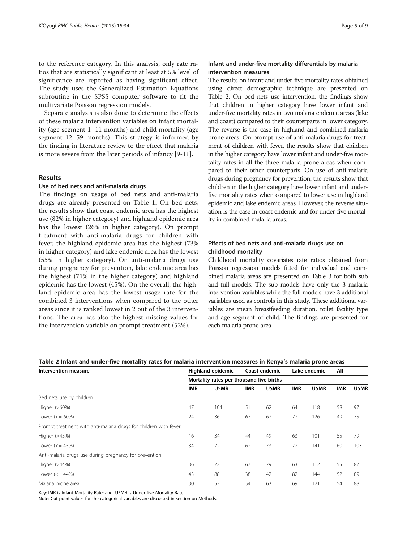<span id="page-4-0"></span>to the reference category. In this analysis, only rate ratios that are statistically significant at least at 5% level of significance are reported as having significant effect. The study uses the Generalized Estimation Equations subroutine in the SPSS computer software to fit the multivariate Poisson regression models.

Separate analysis is also done to determine the effects of these malaria intervention variables on infant mortality (age segment 1–11 months) and child mortality (age segment 12–59 months). This strategy is informed by the finding in literature review to the effect that malaria is more severe from the later periods of infancy [[9-11](#page-7-0)].

# Results

#### Use of bed nets and anti-malaria drugs

The findings on usage of bed nets and anti-malaria drugs are already presented on Table [1](#page-2-0). On bed nets, the results show that coast endemic area has the highest use (82% in higher category) and highland epidemic area has the lowest (26% in higher category). On prompt treatment with anti-malaria drugs for children with fever, the highland epidemic area has the highest (73% in higher category) and lake endemic area has the lowest (55% in higher category). On anti-malaria drugs use during pregnancy for prevention, lake endemic area has the highest (71% in the higher category) and highland epidemic has the lowest (45%). On the overall, the highland epidemic area has the lowest usage rate for the combined 3 interventions when compared to the other areas since it is ranked lowest in 2 out of the 3 interventions. The area has also the highest missing values for the intervention variable on prompt treatment (52%).

# Infant and under-five mortality differentials by malaria intervention measures

The results on infant and under-five mortality rates obtained using direct demographic technique are presented on Table 2. On bed nets use intervention, the findings show that children in higher category have lower infant and under-five mortality rates in two malaria endemic areas (lake and coast) compared to their counterparts in lower category. The reverse is the case in highland and combined malaria prone areas. On prompt use of anti-malaria drugs for treatment of children with fever, the results show that children in the higher category have lower infant and under-five mortality rates in all the three malaria prone areas when compared to their other counterparts. On use of anti-malaria drugs during pregnancy for prevention, the results show that children in the higher category have lower infant and underfive mortality rates when compared to lower use in highland epidemic and lake endemic areas. However, the reverse situation is the case in coast endemic and for under-five mortality in combined malaria areas.

# Effects of bed nets and anti-malaria drugs use on childhood mortality

Childhood mortality covariates rate ratios obtained from Poisson regression models fitted for individual and combined malaria areas are presented on Table [3](#page-5-0) for both sub and full models. The sub models have only the 3 malaria intervention variables while the full models have 3 additional variables used as controls in this study. These additional variables are mean breastfeeding duration, toilet facility type and age segment of child. The findings are presented for each malaria prone area.

| Intervention measure                                             | Highland epidemic                        |      | Coast endemic |      | Lake endemic |      | All        |      |  |
|------------------------------------------------------------------|------------------------------------------|------|---------------|------|--------------|------|------------|------|--|
|                                                                  | Mortality rates per thousand live births |      |               |      |              |      |            |      |  |
|                                                                  | <b>IMR</b>                               | U5MR | <b>IMR</b>    | U5MR | <b>IMR</b>   | U5MR | <b>IMR</b> | U5MR |  |
| Bed nets use by children                                         |                                          |      |               |      |              |      |            |      |  |
| Higher (>60%)                                                    | 47                                       | 104  | 51            | 62   | 64           | 118  | 58         | 97   |  |
| Lower $(<=60\%)$                                                 | 24                                       | 36   | 67            | 67   | 77           | 126  | 49         | 75   |  |
| Prompt treatment with anti-malaria drugs for children with fever |                                          |      |               |      |              |      |            |      |  |
| Higher (>45%)                                                    | 16                                       | 34   | 44            | 49   | 63           | 101  | 55         | 79   |  |
| Lower $(<=45\%)$                                                 | 34                                       | 72   | 62            | 73   | 72           | 141  | 60         | 103  |  |
| Anti-malaria drugs use during pregnancy for prevention           |                                          |      |               |      |              |      |            |      |  |
| Higher (>44%)                                                    | 36                                       | 72   | 67            | 79   | 63           | 112  | 55         | 87   |  |
| Lower $(<=44\%)$                                                 | 43                                       | 88   | 38            | 42   | 82           | 144  | 52         | 89   |  |
| Malaria prone area                                               | 30                                       | 53   | 54            | 63   | 69           | 121  | 54         | 88   |  |

#### Table 2 Infant and under-five mortality rates for malaria intervention measures in Kenya's malaria prone areas

Key: IMR is Infant Mortality Rate; and, U5MR is Under-five Mortality Rate.

Note: Cut point values for the categorical variables are discussed in section on [Methods](#page-2-0).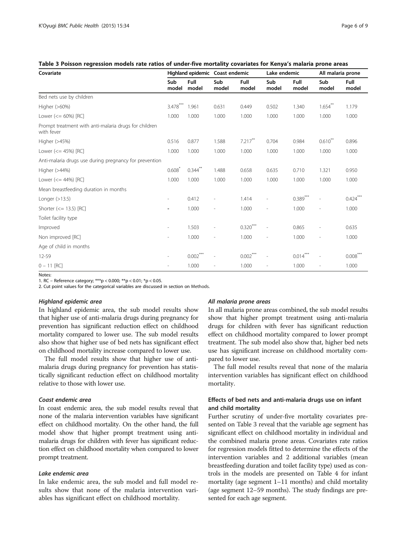# <span id="page-5-0"></span>Table 3 Poisson regression models rate ratios of under-five mortality covariates for Kenya's malaria prone areas

| Covariate                                                           |                          | Highland epidemic Coast endemic |                          |               |                | Lake endemic  | All malaria prone |               |
|---------------------------------------------------------------------|--------------------------|---------------------------------|--------------------------|---------------|----------------|---------------|-------------------|---------------|
|                                                                     | Sub<br>model             | Full<br>model                   | Sub<br>model             | Full<br>model | Sub<br>model   | Full<br>model | Sub<br>model      | Full<br>model |
| Bed nets use by children                                            |                          |                                 |                          |               |                |               |                   |               |
| Higher (>60%)                                                       | $3.478***$               | 1.961                           | 0.631                    | 0.449         | 0.502          | 1.340         | $1.654$ **        | 1.179         |
| Lower $(<=60\%)$ [RC]                                               | 1.000                    | 1.000                           | 1.000                    | 1.000         | 1.000          | 1.000         | 1.000             | 1.000         |
| Prompt treatment with anti-malaria drugs for children<br>with fever |                          |                                 |                          |               |                |               |                   |               |
| Higher (>45%)                                                       | 0.516                    | 0.877                           | 1.588                    | $7.217***$    | 0.704          | 0.984         | $0.610^{**}$      | 0.896         |
| Lower $(<=45\%)$ [RC]                                               | 1.000                    | 1.000                           | 1.000                    | 1.000         | 1.000          | 1.000         | 1.000             | 1.000         |
| Anti-malaria drugs use during pregnancy for prevention              |                          |                                 |                          |               |                |               |                   |               |
| Higher (>44%)                                                       | 0.608                    | $0.344$ **                      | 1.488                    | 0.658         | 0.635          | 0.710         | 1.321             | 0.950         |
| Lower $(<=44\%)$ [RC]                                               | 1.000                    | 1.000                           | 1.000                    | 1.000         | 1.000          | 1.000         | 1.000             | 1.000         |
| Mean breastfeeding duration in months                               |                          |                                 |                          |               |                |               |                   |               |
| Longer $(>13.5)$                                                    | $\overline{\phantom{0}}$ | 0.412                           | $\overline{a}$           | 1.414         |                | $0.389***$    |                   | $0.424***$    |
| Shorter $(<= 13.5)$ [RC]                                            | ٠                        | 1.000                           | $\overline{\phantom{a}}$ | 1.000         | $\overline{a}$ | 1.000         |                   | 1.000         |
| Toilet facility type                                                |                          |                                 |                          |               |                |               |                   |               |
| Improved                                                            | $\overline{\phantom{a}}$ | 1.503                           | $\overline{\phantom{a}}$ | $0.320***$    | $\overline{a}$ | 0.865         |                   | 0.635         |
| Non improved [RC]                                                   |                          | 1.000                           |                          | 1.000         |                | 1.000         |                   | 1.000         |
| Age of child in months                                              |                          |                                 |                          |               |                |               |                   |               |
| 12-59                                                               | ÷                        | $0.002***$                      |                          | $0.002***$    |                | $0.014***$    |                   | $0.008***$    |
| $0 - 11$ [RC]                                                       | ÷                        | 1.000                           |                          | 1.000         |                | 1.000         |                   | 1.000         |

Notes:

1. RC – Reference category; \*\*\*p < 0.000; \*\*p < 0.01; \*p < 0.05.

2. Cut point values for the categorical variables are discussed in section on [Methods.](#page-2-0)

#### Highland epidemic area

In highland epidemic area, the sub model results show that higher use of anti-malaria drugs during pregnancy for prevention has significant reduction effect on childhood mortality compared to lower use. The sub model results also show that higher use of bed nets has significant effect on childhood mortality increase compared to lower use.

The full model results show that higher use of antimalaria drugs during pregnancy for prevention has statistically significant reduction effect on childhood mortality relative to those with lower use.

# Coast endemic area

In coast endemic area, the sub model results reveal that none of the malaria intervention variables have significant effect on childhood mortality. On the other hand, the full model show that higher prompt treatment using antimalaria drugs for children with fever has significant reduction effect on childhood mortality when compared to lower prompt treatment.

# Lake endemic area

In lake endemic area, the sub model and full model results show that none of the malaria intervention variables has significant effect on childhood mortality.

#### All malaria prone areas

In all malaria prone areas combined, the sub model results show that higher prompt treatment using anti-malaria drugs for children with fever has significant reduction effect on childhood mortality compared to lower prompt treatment. The sub model also show that, higher bed nets use has significant increase on childhood mortality compared to lower use.

The full model results reveal that none of the malaria intervention variables has significant effect on childhood mortality.

# Effects of bed nets and anti-malaria drugs use on infant and child mortality

Further scrutiny of under-five mortality covariates presented on Table 3 reveal that the variable age segment has significant effect on childhood mortality in individual and the combined malaria prone areas. Covariates rate ratios for regression models fitted to determine the effects of the intervention variables and 2 additional variables (mean breastfeeding duration and toilet facility type) used as controls in the models are presented on Table [4](#page-6-0) for infant mortality (age segment 1–11 months) and child mortality (age segment 12–59 months). The study findings are presented for each age segment.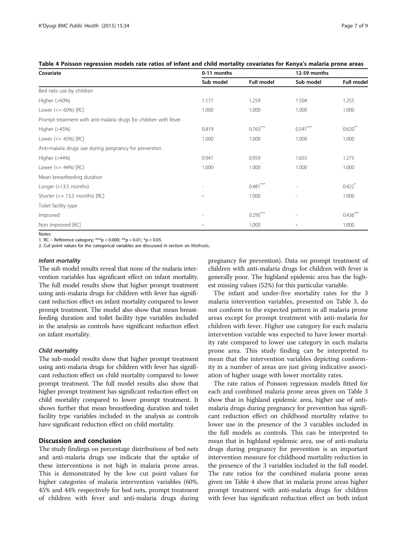| Covariate                                                        | 0-11 months              |                   | 12-59 months             |                       |  |
|------------------------------------------------------------------|--------------------------|-------------------|--------------------------|-----------------------|--|
|                                                                  | Sub model                | <b>Full model</b> | Sub model                | <b>Full model</b>     |  |
| Bed nets use by children                                         |                          |                   |                          |                       |  |
| Higher (>60%)                                                    | 1.171                    | 1.259             | 1.504                    | 1.255                 |  |
| Lower $(<= 60\%)$ [RC]                                           | 1.000                    | 1.000             | 1.000                    | 1.000                 |  |
| Prompt treatment with anti-malaria drugs for children with fever |                          |                   |                          |                       |  |
| Higher (>45%)                                                    | 0.819                    | $0.763***$        | $0.547***$               | $0.620$ <sup>**</sup> |  |
| Lower $(<=45\%)$ [RC]                                            | 1.000                    | 1.000             | 1.000                    | 1.000                 |  |
| Anti-malaria drugs use during pregnancy for prevention           |                          |                   |                          |                       |  |
| Higher (>44%)                                                    | 0.941                    | 0.959             | 1.655                    | 1.275                 |  |
| Lower $(<=44\%)$ [RC]                                            | 1.000                    | 1.000             | 1.000                    | 1.000                 |  |
| Mean breastfeeding duration                                      |                          |                   |                          |                       |  |
| Longer (>13.5 months)                                            | $\sim$                   | $0.481***$        | $\overline{\phantom{0}}$ | $0.422$ <sup>*</sup>  |  |
| Shorter ( $\le$ = 13.5 months) [RC]                              |                          | 1.000             | $\overline{\phantom{a}}$ | 1.000                 |  |
| Toilet facility type                                             |                          |                   |                          |                       |  |
| Improved                                                         | $\overline{\phantom{a}}$ | $0.295***$        | $\overline{\phantom{a}}$ | $0.436^{*}$           |  |
| Non improved [RC]                                                | ٠                        | 1.000             | $\overline{\phantom{a}}$ | 1.000                 |  |

#### <span id="page-6-0"></span>Table 4 Poisson regression models rate ratios of infant and child mortality covariates for Kenya's malaria prone areas

**Notes** 

1. RC – Reference category; \*\*\*p < 0.000; \*\*p < 0.01; \*p < 0.05.

2. Cut point values for the categorical variables are discussed in section on [Methods.](#page-2-0)

# Infant mortality

The sub model results reveal that none of the malaria intervention variables has significant effect on infant mortality. The full model results show that higher prompt treatment using anti-malaria drugs for children with fever has significant reduction effect on infant mortality compared to lower prompt treatment. The model also show that mean breastfeeding duration and toilet facility type variables included in the analysis as controls have significant reduction effect on infant mortality.

#### Child mortality

The sub-model results show that higher prompt treatment using anti-malaria drugs for children with fever has significant reduction effect on child mortality compared to lower prompt treatment. The full model results also show that higher prompt treatment has significant reduction effect on child mortality compared to lower prompt treatment. It shows further that mean breastfeeding duration and toilet facility type variables included in the analysis as controls have significant reduction effect on child mortality.

# Discussion and conclusion

The study findings on percentage distributions of bed nets and anti-malaria drugs use indicate that the uptake of these interventions is not high in malaria prone areas. This is demonstrated by the low cut point values for higher categories of malaria intervention variables (60%, 45% and 44% respectively for bed nets, prompt treatment of children with fever and anti-malaria drugs during pregnancy for prevention). Data on prompt treatment of children with anti-malaria drugs for children with fever is generally poor. The highland epidemic area has the highest missing values (52%) for this particular variable.

The infant and under-five mortality rates for the 3 malaria intervention variables, presented on Table [3](#page-5-0), do not conform to the expected pattern in all malaria prone areas except for prompt treatment with anti-malaria for children with fever. Higher use category for each malaria intervention variable was expected to have lower mortality rate compared to lower use category in each malaria prone area. This study finding can be interpreted to mean that the intervention variables depicting conformity in a number of areas are just giving indicative association of higher usage with lower mortality rates.

The rate ratios of Poisson regression models fitted for each and combined malaria prone areas given on Table [3](#page-5-0) show that in highland epidemic area, higher use of antimalaria drugs during pregnancy for prevention has significant reduction effect on childhood mortality relative to lower use in the presence of the 3 variables included in the full models as controls. This can be interpreted to mean that in highland epidemic area, use of anti-malaria drugs during pregnancy for prevention is an important intervention measure for childhood mortality reduction in the presence of the 3 variables included in the full model. The rate ratios for the combined malaria prone areas given on Table 4 show that in malaria prone areas higher prompt treatment with anti-malaria drugs for children with fever has significant reduction effect on both infant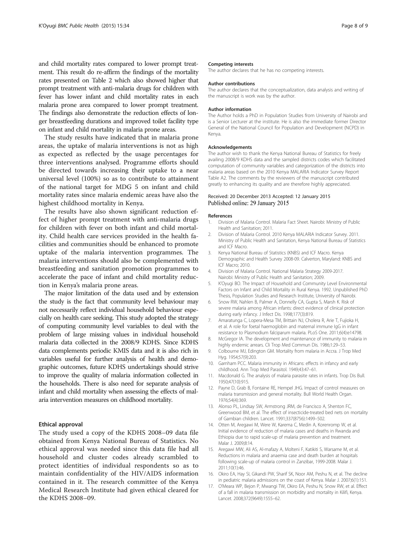<span id="page-7-0"></span>and child mortality rates compared to lower prompt treatment. This result do re-affirm the findings of the mortality rates presented on Table [2](#page-4-0) which also showed higher that prompt treatment with anti-malaria drugs for children with fever has lower infant and child mortality rates in each malaria prone area compared to lower prompt treatment. The findings also demonstrate the reduction effects of longer breastfeeding durations and improved toilet facility type on infant and child mortality in malaria prone areas.

The study results have indicated that in malaria prone areas, the uptake of malaria interventions is not as high as expected as reflected by the usage percentages for three interventions analysed. Programme efforts should be directed towards increasing their uptake to a near universal level (100%) so as to contribute to attainment of the national target for MDG 5 on infant and child mortality rates since malaria endemic areas have also the highest childhood mortality in Kenya.

The results have also shown significant reduction effect of higher prompt treatment with anti-malaria drugs for children with fever on both infant and child mortality. Child health care services provided in the health facilities and communities should be enhanced to promote uptake of the malaria intervention programmes. The malaria interventions should also be complemented with breastfeeding and sanitation promotion programmes to accelerate the pace of infant and child mortality reduction in Kenya's malaria prone areas.

The major limitation of the data used and by extension the study is the fact that community level behaviour may not necessarily reflect individual household behaviour especially on health care seeking. This study adopted the strategy of computing community level variables to deal with the problem of large missing values in individual household malaria data collected in the 2008/9 KDHS. Since KDHS data complements periodic KMIS data and it is also rich in variables useful for further analysis of health and demographic outcomes, future KDHS undertakings should strive to improve the quality of malaria information collected in the households. There is also need for separate analysis of infant and child mortality when assessing the effects of malaria intervention measures on childhood mortality.

#### Ethical approval

The study used a copy of the KDHS 2008–09 data file obtained from Kenya National Bureau of Statistics. No ethical approval was needed since this data file had all household and cluster codes already scrambled to protect identities of individual respondents so as to maintain confidentiality of the HIV/AIDS information contained in it. The research committee of the Kenya Medical Research Institute had given ethical cleared for the KDHS 2008–09.

#### Competing interests

The author declares that he has no competing interests.

#### Author contributions

The author declares that the conceptualization, data analysis and writing of the manuscript is work was by the author.

#### Author information

The Author holds a PhD in Population Studies from University of Nairobi and is a Senior Lecturer at the institute. He is also the immediate former Director General of the National Council for Population and Development (NCPD) in Kenya.

#### Acknowledgements

The author wish to thank the Kenya National Bureau of Statistics for freely availing 2008/9 KDHS data and the sampled districts codes which facilitated computation of community variables and categorization of the districts into malaria areas based on the 2010 Kenya MALARIA Indicator Survey Report Table A2. The comments by the reviewers of the manuscript contributed greatly to enhancing its quality and are therefore highly appreciated.

#### Received: 20 December 2013 Accepted: 12 January 2015 Published online: 29 January 2015

#### References

- 1. Division of Malaria Control. Malaria Fact Sheet. Nairobi: Ministry of Public Health and Sanitation; 2011.
- 2. Division of Malaria Control. 2010 Kenya MALARIA Indicator Survey. 2011. Ministry of Public Health and Sanitation, Kenya National Bureau of Statistics and ICF Macro.
- 3. Kenya National Bureau of Statistics (KNBS) and ICF Macro. Kenya Demographic and Health Survey 2008-09. Calverton, Maryland: KNBS and ICF Macro; 2010.
- 4. Division of Malaria Control. National Malaria Strategy 2009-2017. Nairobi: Ministry of Public Health and Sanitation; 2009.
- 5. K'Oyugi BO. The Impact of Household and Community Level Environmental Factors on Infant and Child Mortality in Rural Kenya. 1992. Unpublished PhD Thesis, Population Studies and Research Institute, University of Nairobi.
- 6. Snow RW, Nahlen B, Palmer A, Donnelly CA, Gupta S, Marsh K. Risk of severe malaria among African infants: direct evidence of clinical protection during early infancy. J Infect Dis. 1998;177(3):819.
- 7. Amaratunga C, Lopera-Mesa TM, Brittain NJ, Cholera R, Arie T, Fujioka H, et al. A role for foetal haemoglobin and maternal immune IgG in infant resistance to Plasmodium falciparum malaria. PLoS One. 2011;6(4):e14798.
- 8. McGregor IA. The development and maintenance of immunity to malaria in highly endemic arrears. Cli Trop Med Commun Dis. 1986;1:29–53.
- 9. Colbourne MJ, Edington GM. Mortality from malaria in Accra. J Trop Med Hyg. 1954;57(9):203.
- 10. Garnham PCC. Malaria immunity in Africans: effects in infancy and early childhood. Ann Trop Med Parasitol. 1949;43:47–61.
- 11. Macdonald G. The analysis of malaria parasite rates in infants. Trop Dis Bull. 1950;47(10):915.
- 12. Payne D, Grab B, Fontaine RE, Hempel JHG. Impact of control measures on malaria transmission and general mortality. Bull World Health Organ. 1976;54(4):369.
- 13. Alonso PL, Lindsay SW, Armstrong JRM, de Francisco A, Shenton FC, Greenwood BM, et al. The effect of insecticide-treated bed nets on mortality of Gambian children. Lancet. 1991;337(8756):1499–502.
- 14. Otten M, Aregawi M, Were W, Karema C, Medin A, Korenromp W, et al. Initial evidence of reduction of malaria cases and deaths in Rwanda and Ethiopia due to rapid scale-up of malaria prevention and treatment. Malar J. 2009;8:14.
- 15. Aregawi MW, Ali AS, Al-mafazy A, Molteni F, Katikiti S, Warsame M, et al. Reductions in malaria and anaemia case and death burden at hospitals following scale-up of malaria control in Zanzibar, 1999-2008. Malar J. 2011;10(1):46.
- 16. Okiro EA, Hay SI, Gikandi PW, Sharif SK, Noor AM, Peshu N, et al. The decline in pediatric malaria admissions on the coast of Kenya. Malar J. 2007;6(1):151.
- 17. O'Meara WP, Bejon P, Mwangi TW, Okiro EA, Peshu N, Snow RW, et al. Effect of a fall in malaria transmission on morbidity and mortality in Kilifi, Kenya. Lancet. 2008;372(9649):1555–62.